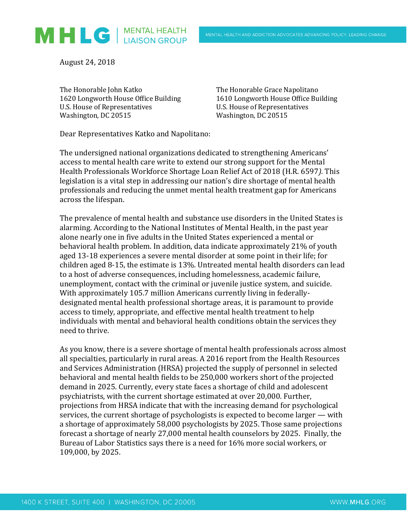

August 24, 2018

The Honorable John Katko The Honorable Grace Napolitano 1620 Longworth House Office Building 1610 Longworth House Office Building U.S. House of Representatives U.S. House of Representatives Washington, DC 20515 Washington, DC 20515

Dear Representatives Katko and Napolitano:

The undersigned national organizations dedicated to strengthening Americans' access to mental health care write to extend our strong support for the Mental Health Professionals Workforce Shortage Loan Relief Act of 2018 (H.R. 6597*).* This legislation is a vital step in addressing our nation's dire shortage of mental health professionals and reducing the unmet mental health treatment gap for Americans across the lifespan.

The prevalence of mental health and substance use disorders in the United States is alarming. According to the National Institutes of Mental Health, in the past year alone nearly one in five adults in the United States experienced a mental or behavioral health problem. In addition, data indicate approximately 21% of youth aged 13-18 experiences a severe mental disorder at some point in their life; for children aged 8-15, the estimate is 13%. Untreated mental health disorders can lead to a host of adverse consequences, including homelessness, academic failure, unemployment, contact with the criminal or juvenile justice system, and suicide. With approximately 105.7 million Americans currently living in federallydesignated mental health professional shortage areas, it is paramount to provide access to timely, appropriate, and effective mental health treatment to help individuals with mental and behavioral health conditions obtain the services they need to thrive.

As you know, there is a severe shortage of mental health professionals across almost all specialties, particularly in rural areas. A 2016 report from the Health Resources and Services Administration (HRSA) projected the supply of personnel in selected behavioral and mental health fields to be 250,000 workers short of the projected demand in 2025. Currently, every state faces a shortage of child and adolescent psychiatrists, with the current shortage estimated at over 20,000. Further, projections from HRSA indicate that with the increasing demand for psychological services, the current shortage of psychologists is expected to become larger — with a shortage of approximately 58,000 psychologists by 2025. Those same projections forecast a shortage of nearly 27,000 mental health counselors by 2025. Finally, the Bureau of Labor Statistics says there is a need for 16% more social workers, or 109,000, by 2025.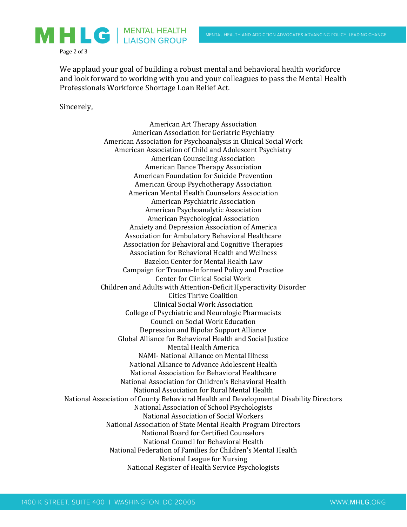

Page 2 of 3

We applaud your goal of building a robust mental and behavioral health workforce and look forward to working with you and your colleagues to pass the Mental Health Professionals Workforce Shortage Loan Relief Act.

Sincerely,

American Art Therapy Association American Association for Geriatric Psychiatry American Association for Psychoanalysis in Clinical Social Work American Association of Child and Adolescent Psychiatry American Counseling Association American Dance Therapy Association American Foundation for Suicide Prevention American Group Psychotherapy Association American Mental Health Counselors Association American Psychiatric Association American Psychoanalytic Association American Psychological Association Anxiety and Depression Association of America Association for Ambulatory Behavioral Healthcare Association for Behavioral and Cognitive Therapies Association for Behavioral Health and Wellness Bazelon Center for Mental Health Law Campaign for Trauma-Informed Policy and Practice Center for Clinical Social Work Children and Adults with Attention-Deficit Hyperactivity Disorder Cities Thrive Coalition Clinical Social Work Association College of Psychiatric and Neurologic Pharmacists Council on Social Work Education Depression and Bipolar Support Alliance Global Alliance for Behavioral Health and Social Justice Mental Health America NAMI- National Alliance on Mental Illness National Alliance to Advance Adolescent Health National Association for Behavioral Healthcare National Association for Children's Behavioral Health National Association for Rural Mental Health National Association of County Behavioral Health and Developmental Disability Directors National Association of School Psychologists National Association of Social Workers National Association of State Mental Health Program Directors National Board for Certified Counselors National Council for Behavioral Health National Federation of Families for Children's Mental Health National League for Nursing National Register of Health Service Psychologists